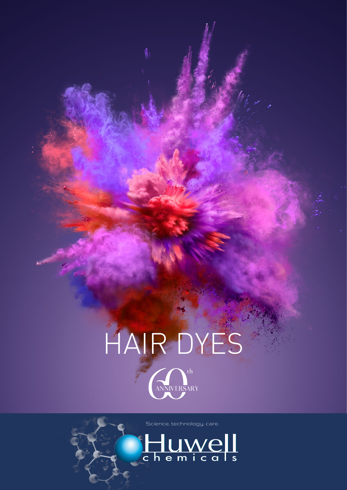

Science, technology, care.

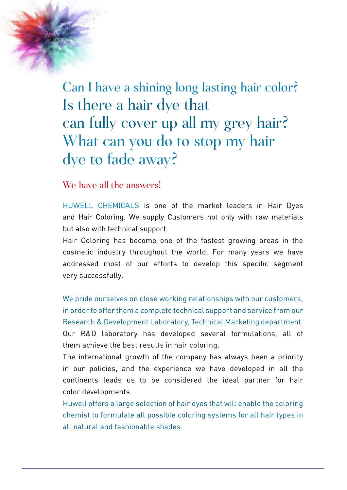Can I have a shining long lasting hair color? Is there a hair dye that can fully cover up all my grey hair? What can you do to stop my hair dye to fade away?

We have all the answers!

HUWELL CHEMICALS is one of the market leaders in Hair Dyes and Hair Coloring. We supply Customers not only with raw materials but also with technical support.

Hair Coloring has become one of the fastest growing areas in the cosmetic industry throughout the world. For many years we have addressed most of our efforts to develop this specific segment very successfully.

We pride ourselves on close working relationships with our customers, in order to offer them a complete technical support and service from our Research & Development Laboratory, Technical Marketing department. Our R&D laboratory has developed several formulations, all of them achieve the best results in hair coloring.

The international growth of the company has always been a priority in our policies, and the experience we have developed in all the continents leads us to be considered the ideal partner for hair color developments.

Huwell offers a large selection of hair dyes that will enable the coloring chemist to formulate all possible coloring systems for all hair types in all natural and fashionable shades.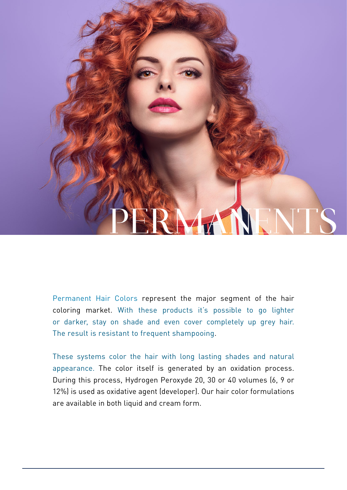## PERMANENTS

Permanent Hair Colors represent the major segment of the hair coloring market. With these products it's possible to go lighter or darker, stay on shade and even cover completely up grey hair. The result is resistant to frequent shampooing.

These systems color the hair with long lasting shades and natural appearance. The color itself is generated by an oxidation process. During this process, Hydrogen Peroxyde 20, 30 or 40 volumes (6, 9 or 12%) is used as oxidative agent (developer). Our hair color formulations are available in both liquid and cream form.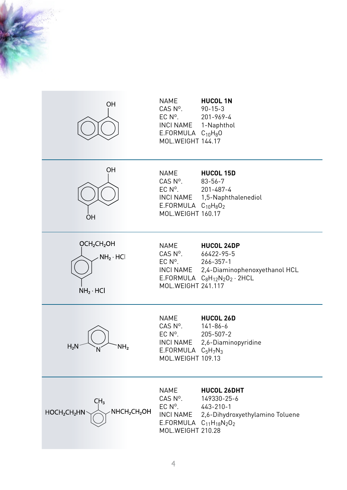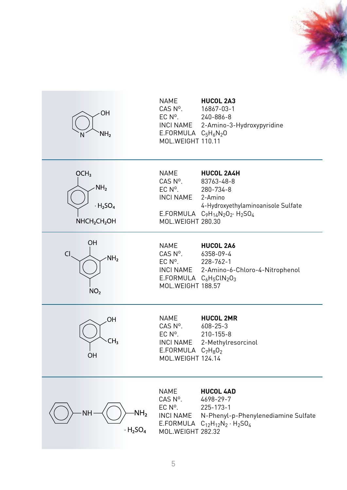

| OH<br>NH <sub>2</sub>                                                                                                 | <b>NAME</b><br>CAS Nº.<br>$EC No$ .<br>E.FORMULA $C_5H_6N_2O$<br>MOL.WEIGHT 110.11     | <b>HUCOL 2A3</b><br>16867-03-1<br>240-886-8<br>INCI NAME 2-Amino-3-Hydroxypyridine                                                                          |
|-----------------------------------------------------------------------------------------------------------------------|----------------------------------------------------------------------------------------|-------------------------------------------------------------------------------------------------------------------------------------------------------------|
| OCH <sub>3</sub><br>NH <sub>2</sub><br>$\cdot$ H <sub>2</sub> SO <sub>4</sub><br>NHCH <sub>2</sub> CH <sub>2</sub> OH | NAME<br>CAS Nº.<br>EC N <sup>o</sup> .<br>INCI NAME<br>MOL.WEIGHT 280.30               | <b>HUCOL 2A4H</b><br>83763-48-8<br>280-734-8<br>2-Amino<br>4-Hydroxyethylaminoanisole Sulfate<br>E.FORMULA $C_9H_{14}N_2O_2$ H <sub>2</sub> SO <sub>4</sub> |
| OH<br><b>CI</b><br>NH <sub>2</sub><br>NO <sub>2</sub>                                                                 | <b>NAME</b><br>CAS Nº.<br>$EC No$ .<br>E.FORMULA $C_6H_5CIN_2O_3$<br>MOL.WEIGHT 188.57 | <b>HUCOL 2A6</b><br>6358-09-4<br>228-762-1<br>INCI NAME 2-Amino-6-Chloro-4-Nitrophenol                                                                      |
| OH<br>CH <sub>3</sub><br><b>OH</b>                                                                                    | <b>NAME</b><br>CAS Nº.<br>$EC No$ .<br>INCI NAME<br>E.FORMULA<br>MOL.WEIGHT 124.14     | <b>HUCOL 2MR</b><br>608-25-3<br>210-155-8<br>2-Methylresorcinol<br>$C_7H_8O_2$                                                                              |
| NH <sub>2</sub><br>NΗ<br>$\cdot$ H <sub>2</sub> SO <sub>4</sub>                                                       | <b>NAME</b><br>CAS Nº.<br>EC N°.<br><b>INCI NAME</b><br>E.FORMULA<br>MOL.WEIGHT 282.32 | <b>HUCOL 4AD</b><br>4698-29-7<br>225-173-1<br>N-Phenyl-p-Phenylenediamine Sulfate<br>$C_{12}H_{12}N_2 \cdot H_2SO_4$                                        |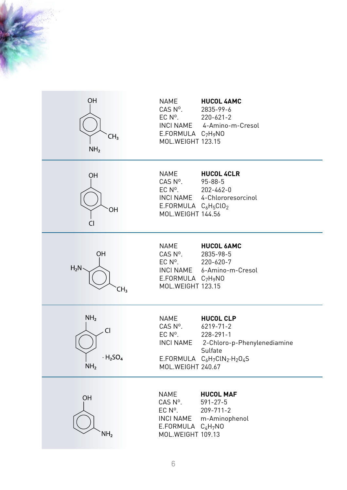| OH<br>CH <sub>3</sub><br>NH <sub>2</sub>                                                       | NAME<br>CAS Nº.<br>EC $N^{\circ}$ . 220-621-2<br>E.FORMULA $C_7H_9N0$<br><b>MOL.WEIGHT 123.15</b>                              | <b>HUCOL 4AMC</b><br>2835-99-6<br>INCI NAME 4-Amino-m-Cresol                                                                             |
|------------------------------------------------------------------------------------------------|--------------------------------------------------------------------------------------------------------------------------------|------------------------------------------------------------------------------------------------------------------------------------------|
| OH<br>ΟH<br>Cl                                                                                 | NAME<br>CAS Nº.<br>EC $N^{\circ}$ . 202-462-0<br>E.FORMULA $C_6H_5ClO_2$<br><b>MOL.WEIGHT 144.56</b>                           | <b>HUCOL 4CLR</b><br>$95 - 88 - 5$<br>INCI NAME 4-Chlororesorcinol                                                                       |
| OH<br>$H_2N$<br>CH <sub>3</sub>                                                                | <b>NAME</b><br>CAS N°.<br>EC $N^{\circ}$ . 220-620-7<br>E.FORMULA C <sub>7</sub> H <sub>9</sub> NO<br><b>MOL.WEIGHT 123.15</b> | <b>HUCOL 6AMC</b><br>2835-98-5<br>INCI NAME 6-Amino-m-Cresol                                                                             |
| NH <sub>2</sub><br>$\overline{C}$<br>$\cdot$ H <sub>2</sub> SO <sub>4</sub><br>NH <sub>2</sub> | NAME<br>CAS N°.<br>EC N <sup>o</sup> .<br><b>INCI NAME</b><br>MOL.WEIGHT 240.67                                                | <b>HUCOL CLP</b><br>$6219 - 71 - 2$<br>$228 - 291 - 1$<br>2-Chloro-p-Phenylenediamine<br>Sulfate<br>E.FORMULA $C_6H_7CIN_2\cdot H_2O_4S$ |
| OH<br>NH <sub>2</sub>                                                                          | NAME<br>CAS Nº.<br>$EC No$ .<br>INCI NAME<br>E.FORMULA C4H7NO<br>MOL.WEIGHT 109.13                                             | <b>HUCOL MAF</b><br>$591 - 27 - 5$<br>$209 - 711 - 2$<br>m-Aminophenol                                                                   |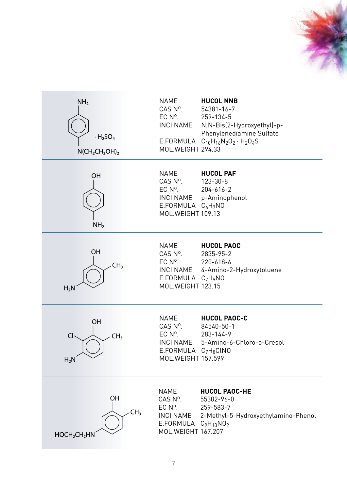

| NH <sub>2</sub><br>$\cdot$ H <sub>2</sub> SO <sub>4</sub><br>$N(CH_2CH_2OH)_2$ | <b>NAME</b><br>CAS Nº.<br>$EC No$ .<br>MOL.WEIGHT 294.33                                        | <b>HUCOL NNB</b><br>54381-16-7<br>259-134-5<br>INCI NAME N, N-Bis(2-Hydroxyethyl)-p-<br>Phenylenediamine Sulfate<br>E.FORMULA $C_{10}H_{16}N_2O_2 \cdot H_2O_4S$ |
|--------------------------------------------------------------------------------|-------------------------------------------------------------------------------------------------|------------------------------------------------------------------------------------------------------------------------------------------------------------------|
| OH<br>NH <sub>2</sub>                                                          | NAME<br>CAS N°.<br>$EC No$ .<br>E.FORMULA $C_6H_7NO$<br>MOL.WEIGHT 109.13                       | <b>HUCOL PAF</b><br>123-30-8<br>204-616-2<br>INCI NAME p-Aminophenol                                                                                             |
| OH<br>CH <sub>3</sub><br>$H_2N$                                                | NAME<br>CAS Nº.<br>EC N <sup>o</sup> .<br>E.FORMULA $C_7H_9N0$<br><b>MOL.WEIGHT 123.15</b>      | <b>HUCOL PAOC</b><br>2835-95-2<br>220-618-6<br>INCI NAME 4-Amino-2-Hydroxytoluene                                                                                |
| OH<br>CH <sub>3</sub><br>CI<br>$\mathsf{H}_2\mathsf{N}$                        | NAME<br>$CAS$ $N^{\circ}$ .<br>$EC No$ .<br>E.FORMULA $C_7H_8CINO$<br><b>MOL.WEIGHT 157.599</b> | <b>HUCOL PAOC-C</b><br>84540-50-1<br>283-144-9<br>INCI NAME 5-Amino-6-Chloro-o-Cresol                                                                            |
| OH<br>CH <sub>3</sub><br>HOCH <sub>2</sub> CH <sub>2</sub> HN                  | NAME<br>$CAS$ $N^{\circ}$ .<br>$EC No$ .<br>INCI NAME<br>E.FORMULA<br>MOL.WEIGHT 167.207        | <b>HUCOL PAOC-HE</b><br>55302-96-0<br>259-583-7<br>2-Methyl-5-Hydroxyethylamino-Phenol<br>$C_9H_{13}NO_2$                                                        |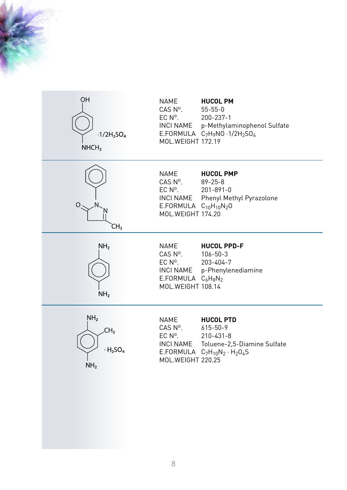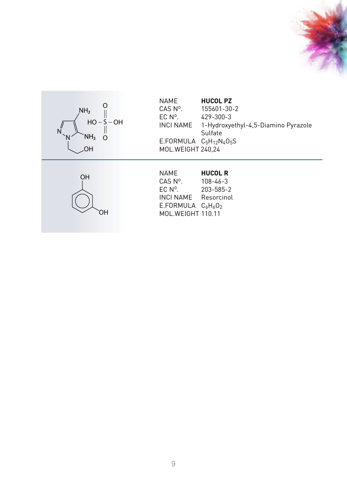



| <b>NAME</b>                  | <b>HUCOL PZ</b>                               |
|------------------------------|-----------------------------------------------|
| $CAS$ $N^{\circ}$ .          | 155601-30-2                                   |
| $EC No$ .                    | 429-300-3                                     |
|                              | INCI NAME 1-Hydroxyethyl-4,5-Diamino Pyrazole |
|                              | Sulfate                                       |
| E.FORMULA $C_5H_{12}N_4O_5S$ |                                               |
| MOL.WEIGHT 240.24            |                                               |
|                              |                                               |



| NAME                  | <b>HUCOL R</b> |
|-----------------------|----------------|
| CAS Nº.               | $108 - 46 - 3$ |
| $EC No$ .             | 203-585-2      |
| <b>INCI NAME</b>      | Resorcinol     |
| E.FORMULA $C_6H_6O_2$ |                |
| MOL.WEIGHT 110.11     |                |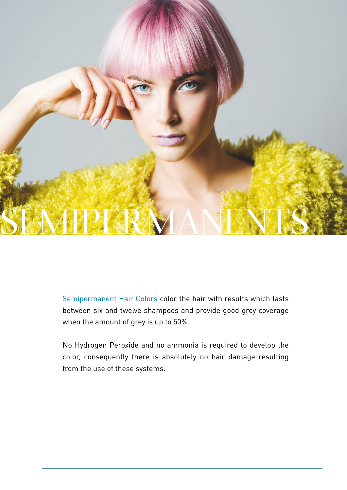

Semipermanent Hair Colors color the hair with results which lasts between six and twelve shampoos and provide good grey coverage when the amount of grey is up to 50%.

No Hydrogen Peroxide and no ammonia is required to develop the color, consequently there is absolutely no hair damage resulting from the use of these systems.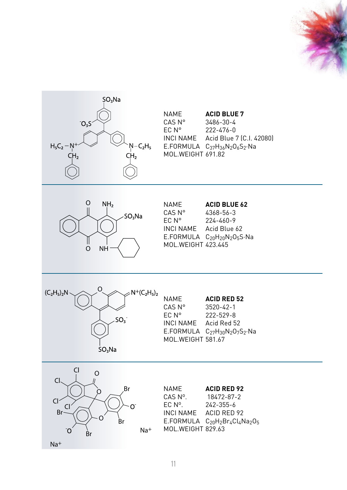

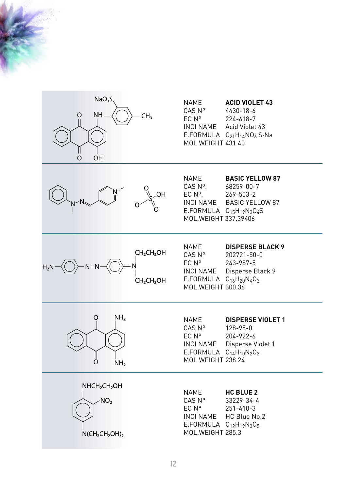| NaO <sub>3</sub> S<br>NH.<br>O<br>CH <sub>3</sub><br>OH<br>$\overline{O}$                 | <b>NAME</b><br><b>ACID VIOLET 43</b><br>CAS N°<br>4430-18-6<br>EC N°<br>224-618-7<br>INCI NAME Acid Violet 43<br>E.FORMULA $C_{21}H_{14}NO_6$ S·Na<br>MOL.WEIGHT 431.40                                  |
|-------------------------------------------------------------------------------------------|----------------------------------------------------------------------------------------------------------------------------------------------------------------------------------------------------------|
| OH                                                                                        | <b>NAME</b><br><b>BASIC YELLOW 87</b><br>CAS Nº.<br>68259-00-7<br>$EC No$ .<br>$269 - 503 - 2$<br><b>BASIC YELLOW 87</b><br><b>INCI NAME</b><br>E.FORMULA $C_{15}H_{19}N_3O_4S$<br>MOL. WEIGHT 337.39406 |
| CH <sub>2</sub> CH <sub>2</sub> OH<br>$H_2N$<br>N=N<br>CH <sub>2</sub> CH <sub>2</sub> OH | <b>NAME</b><br><b>DISPERSE BLACK 9</b><br>CAS N°<br>202721-50-0<br>EC N°<br>243-987-5<br>Disperse Black 9<br><b>INCI NAME</b><br>E.FORMULA<br>$C_{16}H_{20}N_{4}O_{2}$<br>MOL.WEIGHT 300.36              |
| NH <sub>2</sub><br>O<br>NH <sub>2</sub>                                                   | <b>DISPERSE VIOLET 1</b><br><b>NAME</b><br>CAS N°<br>$128 - 95 - 0$<br>EC N°<br>204-922-6<br>INCI NAME Disperse Violet 1<br>E.FORMULA $C_{14}H_{10}N_2O_2$<br>MOL.WEIGHT 238.24                          |
| NHCH <sub>2</sub> CH <sub>2</sub> OH<br>$-NO2$<br>$N(CH_2CH_2OH)_2$                       | <b>HC BLUE 2</b><br><b>NAME</b><br>$CAS\ N^\circ$<br>33229-34-4<br>$EC N^{\circ}$ 251-410-3<br>INCI NAME HC Blue No.2<br>E.FORMULA $C_{12}H_{19}N_3O_5$<br>MOL.WEIGHT 285.3                              |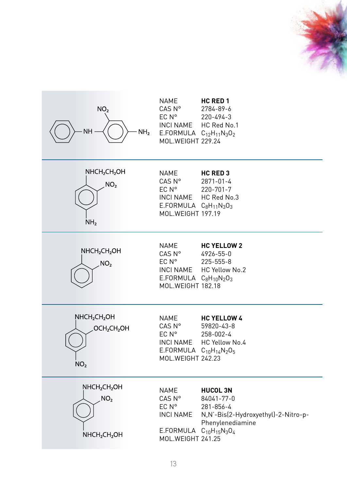

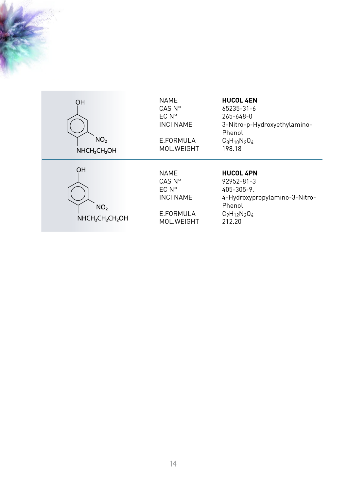| <b>OH</b><br>NO <sub>2</sub><br>NHCH <sub>2</sub> CH <sub>2</sub> OH                 | <b>NAME</b><br>CAS N°<br>EC N <sup>o</sup><br><b>INCI NAME</b><br>E.FORMULA<br>MOL.WEIGHT         | <b>HUCOL 4EN</b><br>65235-31-6<br>$265 - 648 - 0$<br>3-Nitro-p-Hydroxyethylamino-<br>Phenol<br>$C_8H_{10}N_2O_4$<br>198.18 |
|--------------------------------------------------------------------------------------|---------------------------------------------------------------------------------------------------|----------------------------------------------------------------------------------------------------------------------------|
| <b>OH</b><br>NO <sub>2</sub><br>NHCH <sub>2</sub> CH <sub>2</sub> CH <sub>2</sub> OH | <b>NAME</b><br>$CAS$ $N^{\circ}$<br>$EC N^{\circ}$<br><b>INCI NAME</b><br>E.FORMULA<br>MOL.WEIGHT | <b>HUCOL 4PN</b><br>92952-81-3<br>405-305-9.<br>4-Hydroxypropylamino-3-Nitro-<br>Phenol<br>$C_9H_{12}N_2O_4$<br>212.20     |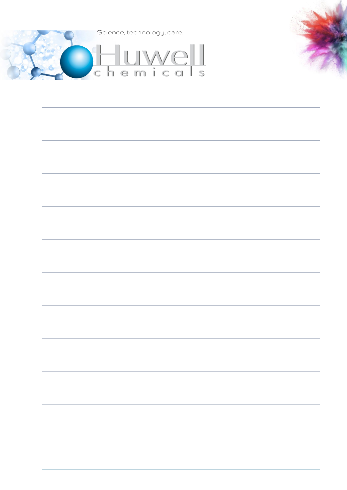